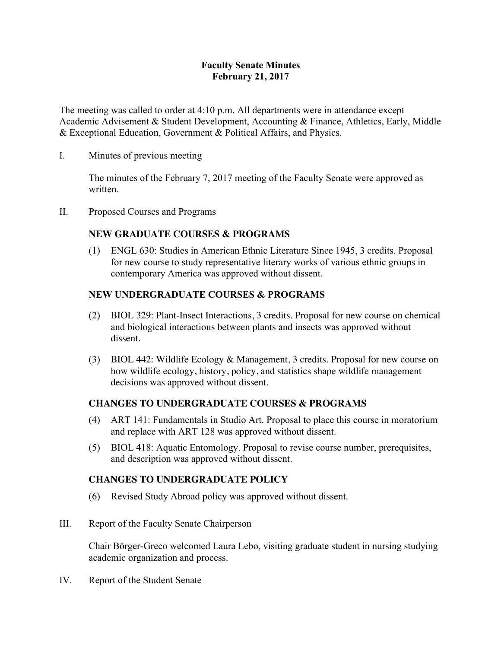## **Faculty Senate Minutes February 21, 2017**

The meeting was called to order at 4:10 p.m. All departments were in attendance except Academic Advisement & Student Development, Accounting & Finance, Athletics, Early, Middle & Exceptional Education, Government & Political Affairs, and Physics.

#### I. Minutes of previous meeting

The minutes of the February 7, 2017 meeting of the Faculty Senate were approved as written.

II. Proposed Courses and Programs

## **NEW GRADUATE COURSES & PROGRAMS**

(1) ENGL 630: Studies in American Ethnic Literature Since 1945, 3 credits. Proposal for new course to study representative literary works of various ethnic groups in contemporary America was approved without dissent.

## **NEW UNDERGRADUATE COURSES & PROGRAMS**

- (2) BIOL 329: Plant-Insect Interactions, 3 credits. Proposal for new course on chemical and biological interactions between plants and insects was approved without dissent.
- (3) BIOL 442: Wildlife Ecology & Management, 3 credits. Proposal for new course on how wildlife ecology, history, policy, and statistics shape wildlife management decisions was approved without dissent.

## **CHANGES TO UNDERGRADUATE COURSES & PROGRAMS**

- (4) ART 141: Fundamentals in Studio Art. Proposal to place this course in moratorium and replace with ART 128 was approved without dissent.
- (5) BIOL 418: Aquatic Entomology. Proposal to revise course number, prerequisites, and description was approved without dissent.

## **CHANGES TO UNDERGRADUATE POLICY**

- (6) Revised Study Abroad policy was approved without dissent.
- III. Report of the Faculty Senate Chairperson

Chair Börger-Greco welcomed Laura Lebo, visiting graduate student in nursing studying academic organization and process.

IV. Report of the Student Senate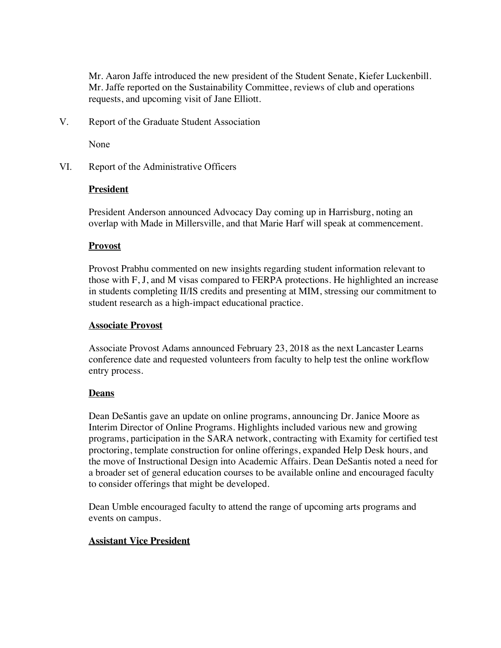Mr. Aaron Jaffe introduced the new president of the Student Senate, Kiefer Luckenbill. Mr. Jaffe reported on the Sustainability Committee, reviews of club and operations requests, and upcoming visit of Jane Elliott.

V. Report of the Graduate Student Association

None

VI. Report of the Administrative Officers

#### **President**

President Anderson announced Advocacy Day coming up in Harrisburg, noting an overlap with Made in Millersville, and that Marie Harf will speak at commencement.

#### **Provost**

Provost Prabhu commented on new insights regarding student information relevant to those with F, J, and M visas compared to FERPA protections. He highlighted an increase in students completing II/IS credits and presenting at MIM, stressing our commitment to student research as a high-impact educational practice.

#### **Associate Provost**

Associate Provost Adams announced February 23, 2018 as the next Lancaster Learns conference date and requested volunteers from faculty to help test the online workflow entry process.

#### **Deans**

Dean DeSantis gave an update on online programs, announcing Dr. Janice Moore as Interim Director of Online Programs. Highlights included various new and growing programs, participation in the SARA network, contracting with Examity for certified test proctoring, template construction for online offerings, expanded Help Desk hours, and the move of Instructional Design into Academic Affairs. Dean DeSantis noted a need for a broader set of general education courses to be available online and encouraged faculty to consider offerings that might be developed.

Dean Umble encouraged faculty to attend the range of upcoming arts programs and events on campus.

#### **Assistant Vice President**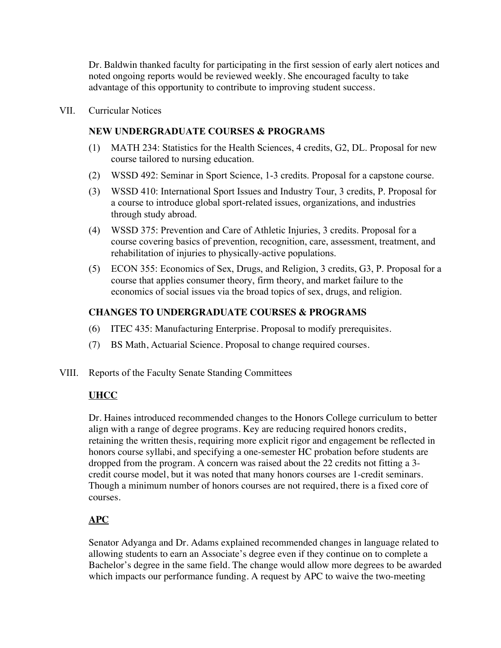Dr. Baldwin thanked faculty for participating in the first session of early alert notices and noted ongoing reports would be reviewed weekly. She encouraged faculty to take advantage of this opportunity to contribute to improving student success.

VII. Curricular Notices

## **NEW UNDERGRADUATE COURSES & PROGRAMS**

- (1) MATH 234: Statistics for the Health Sciences, 4 credits, G2, DL. Proposal for new course tailored to nursing education.
- (2) WSSD 492: Seminar in Sport Science, 1-3 credits. Proposal for a capstone course.
- (3) WSSD 410: International Sport Issues and Industry Tour, 3 credits, P. Proposal for a course to introduce global sport-related issues, organizations, and industries through study abroad.
- (4) WSSD 375: Prevention and Care of Athletic Injuries, 3 credits. Proposal for a course covering basics of prevention, recognition, care, assessment, treatment, and rehabilitation of injuries to physically-active populations.
- (5) ECON 355: Economics of Sex, Drugs, and Religion, 3 credits, G3, P. Proposal for a course that applies consumer theory, firm theory, and market failure to the economics of social issues via the broad topics of sex, drugs, and religion.

## **CHANGES TO UNDERGRADUATE COURSES & PROGRAMS**

- (6) ITEC 435: Manufacturing Enterprise. Proposal to modify prerequisites.
- (7) BS Math, Actuarial Science. Proposal to change required courses.
- VIII. Reports of the Faculty Senate Standing Committees

# **UHCC**

Dr. Haines introduced recommended changes to the Honors College curriculum to better align with a range of degree programs. Key are reducing required honors credits, retaining the written thesis, requiring more explicit rigor and engagement be reflected in honors course syllabi, and specifying a one-semester HC probation before students are dropped from the program. A concern was raised about the 22 credits not fitting a 3 credit course model, but it was noted that many honors courses are 1-credit seminars. Though a minimum number of honors courses are not required, there is a fixed core of courses.

# **APC**

Senator Adyanga and Dr. Adams explained recommended changes in language related to allowing students to earn an Associate's degree even if they continue on to complete a Bachelor's degree in the same field. The change would allow more degrees to be awarded which impacts our performance funding. A request by APC to waive the two-meeting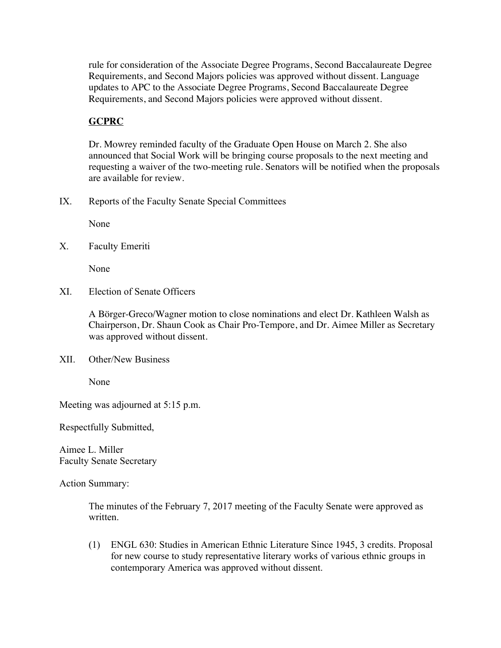rule for consideration of the Associate Degree Programs, Second Baccalaureate Degree Requirements, and Second Majors policies was approved without dissent. Language updates to APC to the Associate Degree Programs, Second Baccalaureate Degree Requirements, and Second Majors policies were approved without dissent.

# **GCPRC**

Dr. Mowrey reminded faculty of the Graduate Open House on March 2. She also announced that Social Work will be bringing course proposals to the next meeting and requesting a waiver of the two-meeting rule. Senators will be notified when the proposals are available for review.

IX. Reports of the Faculty Senate Special Committees

None

X. Faculty Emeriti

None

XI. Election of Senate Officers

A Börger-Greco/Wagner motion to close nominations and elect Dr. Kathleen Walsh as Chairperson, Dr. Shaun Cook as Chair Pro-Tempore, and Dr. Aimee Miller as Secretary was approved without dissent.

XII. Other/New Business

None

Meeting was adjourned at 5:15 p.m.

Respectfully Submitted,

Aimee L. Miller Faculty Senate Secretary

Action Summary:

The minutes of the February 7, 2017 meeting of the Faculty Senate were approved as written.

(1) ENGL 630: Studies in American Ethnic Literature Since 1945, 3 credits. Proposal for new course to study representative literary works of various ethnic groups in contemporary America was approved without dissent.